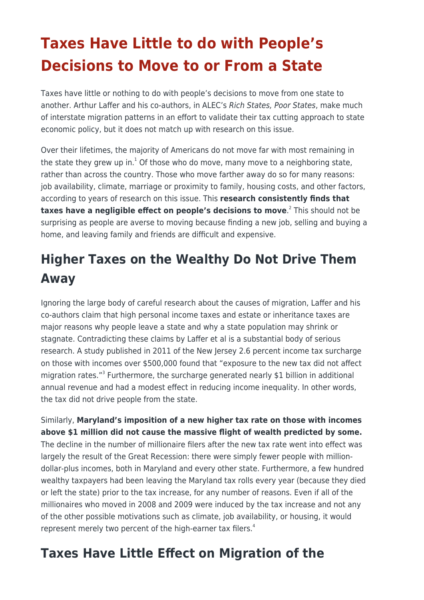## **Taxes Have Little to do with People's Decisions to Move to or From a State**

Taxes have little or nothing to do with people's decisions to move from one state to another. Arthur Laffer and his co-authors, in ALEC's Rich States, Poor States, make much of interstate migration patterns in an effort to validate their tax cutting approach to state economic policy, but it does not match up with research on this issue.

Over their lifetimes, the majority of Americans do not move far with most remaining in the state they grew up in.<sup>1</sup> Of those who do move, many move to a neighboring state, rather than across the country. Those who move farther away do so for many reasons: job availability, climate, marriage or proximity to family, housing costs, and other factors, according to years of research on this issue. This **research consistently finds that taxes have a negligible effect on people's decisions to move**. 2 This should not be surprising as people are averse to moving because finding a new job, selling and buying a home, and leaving family and friends are difficult and expensive.

## **Higher Taxes on the Wealthy Do Not Drive Them Away**

Ignoring the large body of careful research about the causes of migration, Laffer and his co-authors claim that high personal income taxes and estate or inheritance taxes are major reasons why people leave a state and why a state population may shrink or stagnate. Contradicting these claims by Laffer et al is a substantial body of serious research. A study published in 2011 of the New Jersey 2.6 percent income tax surcharge on those with incomes over \$500,000 found that "exposure to the new tax did not affect migration rates."<sup>3</sup> Furthermore, the surcharge generated nearly \$1 billion in additional annual revenue and had a modest effect in reducing income inequality. In other words, the tax did not drive people from the state.

Similarly, **Maryland's imposition of a new higher tax rate on those with incomes above \$1 million did not cause the massive flight of wealth predicted by some.** The decline in the number of millionaire filers after the new tax rate went into effect was largely the result of the Great Recession: there were simply fewer people with milliondollar-plus incomes, both in Maryland and every other state. Furthermore, a few hundred wealthy taxpayers had been leaving the Maryland tax rolls every year (because they died or left the state) prior to the tax increase, for any number of reasons. Even if all of the millionaires who moved in 2008 and 2009 were induced by the tax increase and not any of the other possible motivations such as climate, job availability, or housing, it would represent merely two percent of the high-earner tax filers. $4$ 

## **Taxes Have Little Effect on Migration of the**